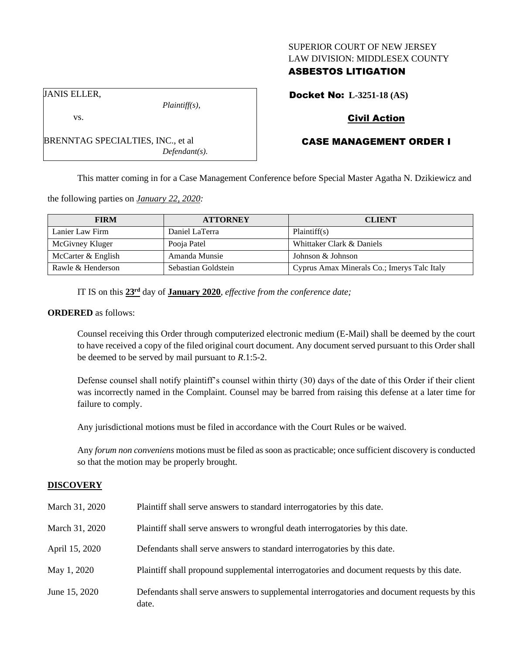## SUPERIOR COURT OF NEW JERSEY LAW DIVISION: MIDDLESEX COUNTY

# ASBESTOS LITIGATION

Docket No: **L-3251-18 (AS)**

# Civil Action

# CASE MANAGEMENT ORDER I

This matter coming in for a Case Management Conference before Special Master Agatha N. Dzikiewicz and

the following parties on *January 22, 2020:*

BRENNTAG SPECIALTIES, INC., et al

| <b>FIRM</b>        | <b>ATTORNEY</b>     | <b>CLIENT</b>                               |
|--------------------|---------------------|---------------------------------------------|
| Lanier Law Firm    | Daniel LaTerra      | Plaintiff(s)                                |
| McGivney Kluger    | Pooja Patel         | Whittaker Clark & Daniels                   |
| McCarter & English | Amanda Munsie       | Johnson & Johnson                           |
| Rawle & Henderson  | Sebastian Goldstein | Cyprus Amax Minerals Co.; Imerys Talc Italy |

IT IS on this  $23<sup>rd</sup>$  day of **January 2020**, *effective from the conference date*;

*Plaintiff(s),*

*Defendant(s).*

#### **ORDERED** as follows:

Counsel receiving this Order through computerized electronic medium (E-Mail) shall be deemed by the court to have received a copy of the filed original court document. Any document served pursuant to this Order shall be deemed to be served by mail pursuant to *R*.1:5-2.

Defense counsel shall notify plaintiff's counsel within thirty (30) days of the date of this Order if their client was incorrectly named in the Complaint. Counsel may be barred from raising this defense at a later time for failure to comply.

Any jurisdictional motions must be filed in accordance with the Court Rules or be waived.

Any *forum non conveniens* motions must be filed as soon as practicable; once sufficient discovery is conducted so that the motion may be properly brought.

## **DISCOVERY**

| March 31, 2020 | Plaintiff shall serve answers to standard interrogatories by this date.                               |
|----------------|-------------------------------------------------------------------------------------------------------|
| March 31, 2020 | Plaintiff shall serve answers to wrongful death interrogatories by this date.                         |
| April 15, 2020 | Defendants shall serve answers to standard interrogatories by this date.                              |
| May 1, 2020    | Plaintiff shall propound supplemental interrogatories and document requests by this date.             |
| June 15, 2020  | Defendants shall serve answers to supplemental interrogatories and document requests by this<br>date. |

| ANIS ELLER. |  |
|-------------|--|
|             |  |

vs.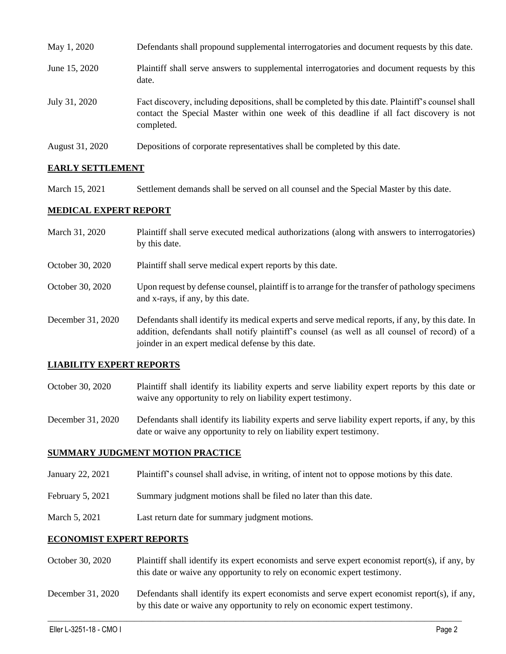| May 1, 2020     | Defendants shall propound supplemental interrogatories and document requests by this date.                                                                                                                  |
|-----------------|-------------------------------------------------------------------------------------------------------------------------------------------------------------------------------------------------------------|
| June 15, 2020   | Plaintiff shall serve answers to supplemental interrogatories and document requests by this<br>date.                                                                                                        |
| July 31, 2020   | Fact discovery, including depositions, shall be completed by this date. Plaintiff's counsel shall<br>contact the Special Master within one week of this deadline if all fact discovery is not<br>completed. |
| August 31, 2020 | Depositions of corporate representatives shall be completed by this date.                                                                                                                                   |

# **EARLY SETTLEMENT**

March 15, 2021 Settlement demands shall be served on all counsel and the Special Master by this date.

## **MEDICAL EXPERT REPORT**

| March 31, 2020    | Plaintiff shall serve executed medical authorizations (along with answers to interrogatories)<br>by this date.                                                                                                                                           |
|-------------------|----------------------------------------------------------------------------------------------------------------------------------------------------------------------------------------------------------------------------------------------------------|
| October 30, 2020  | Plaintiff shall serve medical expert reports by this date.                                                                                                                                                                                               |
| October 30, 2020  | Upon request by defense counsel, plaintiff is to arrange for the transfer of pathology specimens<br>and x-rays, if any, by this date.                                                                                                                    |
| December 31, 2020 | Defendants shall identify its medical experts and serve medical reports, if any, by this date. In<br>addition, defendants shall notify plaintiff's counsel (as well as all counsel of record) of a<br>joinder in an expert medical defense by this date. |

## **LIABILITY EXPERT REPORTS**

October 30, 2020 Plaintiff shall identify its liability experts and serve liability expert reports by this date or waive any opportunity to rely on liability expert testimony.

December 31, 2020 Defendants shall identify its liability experts and serve liability expert reports, if any, by this date or waive any opportunity to rely on liability expert testimony.

## **SUMMARY JUDGMENT MOTION PRACTICE**

- January 22, 2021 Plaintiff's counsel shall advise, in writing, of intent not to oppose motions by this date.
- February 5, 2021 Summary judgment motions shall be filed no later than this date.
- March 5, 2021 Last return date for summary judgment motions.

## **ECONOMIST EXPERT REPORTS**

- October 30, 2020 Plaintiff shall identify its expert economists and serve expert economist report(s), if any, by this date or waive any opportunity to rely on economic expert testimony.
- December 31, 2020 Defendants shall identify its expert economists and serve expert economist report(s), if any, by this date or waive any opportunity to rely on economic expert testimony.

 $\_$  , and the set of the set of the set of the set of the set of the set of the set of the set of the set of the set of the set of the set of the set of the set of the set of the set of the set of the set of the set of th